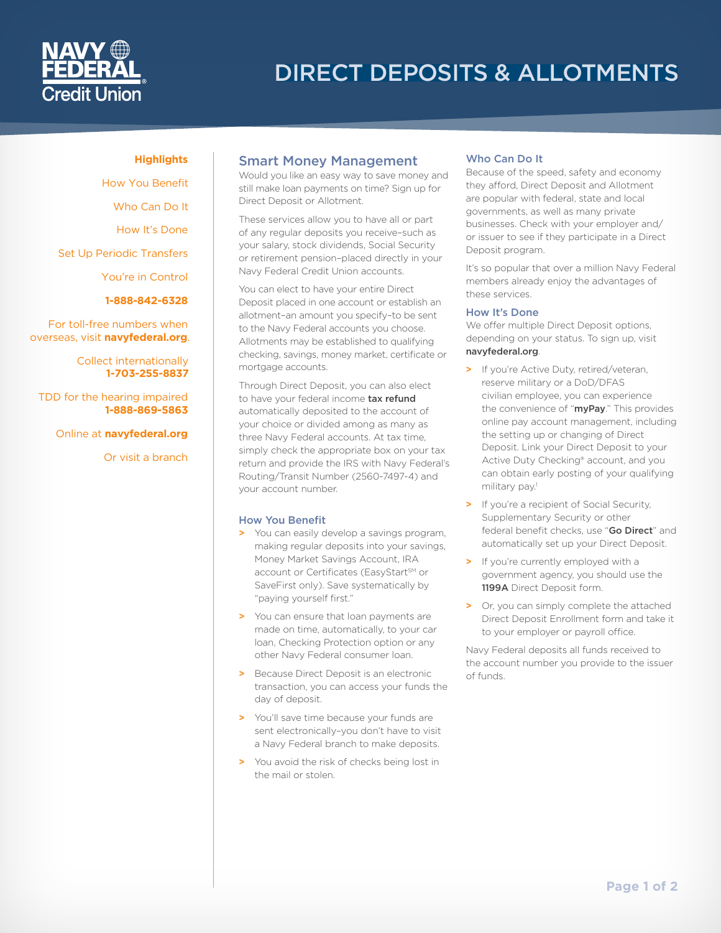# DIRECT DEPOSITS & ALLOTMENTS

## **Highlights**

[How You Benefit](#page-0-0) [Who Can Do It](#page-0-1) [How It's Done](#page-0-2) [Set Up Periodic Transfers](#page-1-0) [You're in Control](#page-1-1) **1-888-842-6328**

For toll-free numbers when overseas, visit **[navyfederal.org](http://www.navyfederal.org)**.

> Collect internationally **1-703-255-8837**

TDD for the hearing impaired **1-888-869-5863**

Online at **[navyfederal.org](http://www.navyfederal.org)**

Or visit a branch

# Smart Money Management

Would you like an easy way to save money and still make loan payments on time? Sign up for Direct Deposit or Allotment.

These services allow you to have all or part of any regular deposits you receive–such as your salary, stock dividends, Social Security or retirement pension–placed directly in your Navy Federal Credit Union accounts.

You can elect to have your entire Direct Deposit placed in one account or establish an allotment–an amount you specify–to be sent to the Navy Federal accounts you choose. Allotments may be established to qualifying checking, savings, money market, certificate or mortgage accounts.

Through Direct Deposit, you can also elect to have your federal income tax refund automatically deposited to the account of your choice or divided among as many as three Navy Federal accounts. At tax time, simply check the appropriate box on your tax return and provide the IRS with Navy Federal's Routing/Transit Number (2560-7497-4) and your account number.

# <span id="page-0-0"></span>How You Benefit

- **>** You can easily develop a savings program, making regular deposits into your savings, Money Market Savings Account, IRA account or Certificates (EasyStart<sup>sM</sup> or SaveFirst only). Save systematically by "paying yourself first."
- **>** You can ensure that loan payments are made on time, automatically, to your car loan, Checking Protection option or any other Navy Federal consumer loan.
- **>** Because Direct Deposit is an electronic transaction, you can access your funds the day of deposit.
- **>** You'll save time because your funds are sent electronically–you don't have to visit a Navy Federal branch to make deposits.
- **>** You avoid the risk of checks being lost in the mail or stolen.

# <span id="page-0-1"></span>Who Can Do It

Because of the speed, safety and economy they afford, Direct Deposit and Allotment are popular with federal, state and local governments, as well as many private businesses. Check with your employer and/ or issuer to see if they participate in a Direct Deposit program.

It's so popular that over a million Navy Federal members already enjoy the advantages of these services.

### <span id="page-0-2"></span>How It's Done

We offer multiple Direct Deposit options, depending on your status. To sign up, visit [navyfederal.org](http://www.navyfederal.org).

- **>** If you're Active Duty, retired/veteran, reserve military or a DoD/DFAS civilian employee, you can experience the convenience of "myPay." This provides online pay account management, including the setting up or changing of Direct Deposit. Link your Direct Deposit to your Active Duty Checking® account, and you can obtain early posting of your qualifying military pay.<sup>1</sup>
- **>** If you're a recipient of Social Security, Supplementary Security or other federal benefit checks, use "Go Direct" and automatically set up your Direct Deposit.
- **>** If you're currently employed with a government agency, you should use the 1199A Direct Deposit form.
- **>** Or, you can simply complete the attached Direct Deposit Enrollment form and take it to your employer or payroll office.

Navy Federal deposits all funds received to the account number you provide to the issuer of funds.